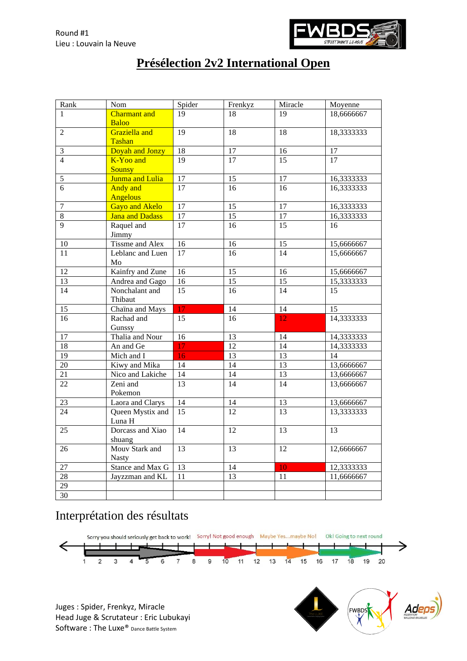

## **Présélection 2v2 International Open**

| Rank            | Nom                    | Spider          | Frenkyz         | Miracle         | Moyenne         |
|-----------------|------------------------|-----------------|-----------------|-----------------|-----------------|
| 1               | <b>Charmant</b> and    | 19              | 18              | 19              | 18,6666667      |
|                 | <b>Baloo</b>           |                 |                 |                 |                 |
| $\overline{2}$  | Graziella and          | 19              | 18              | 18              | 18,3333333      |
|                 | <b>Tashan</b>          |                 |                 |                 |                 |
| $\mathfrak{Z}$  | Doyah and Jonzy        | $\overline{18}$ | $\overline{17}$ | 16              | $\overline{17}$ |
| $\overline{4}$  | K-Yoo and              | 19              | $\overline{17}$ | 15              | $\overline{17}$ |
|                 | <b>Sounsy</b>          |                 |                 |                 |                 |
| $\sqrt{5}$      | Junma and Lulia        | 17              | 15              | 17              | 16,3333333      |
| $\overline{6}$  | <b>Andy</b> and        | 17              | $\overline{16}$ | 16              | 16,3333333      |
|                 | <b>Angelous</b>        |                 |                 |                 |                 |
| $\overline{7}$  | <b>Gayo and Akelo</b>  | 17              | 15              | 17              | 16,3333333      |
| $\,8\,$         | <b>Jana and Dadass</b> | 17              | $\overline{15}$ | 17              | 16,3333333      |
| 9               | Raquel and<br>Jimmy    | $\overline{17}$ | 16              | 15              | 16              |
| 10              | Tissme and Alex        | 16              | 16              | 15              | 15,6666667      |
| 11              | Leblanc and Luen<br>Mo | 17              | 16              | 14              | 15,6666667      |
| 12              | Kainfry and Zune       | 16              | 15              | 16              | 15,6666667      |
| 13              | Andrea and Gago        | 16              | 15              | 15              | 15,3333333      |
| 14              | Nonchalant and         | $\overline{15}$ | $\overline{16}$ | 14              | 15              |
|                 | Thibaut                |                 |                 |                 |                 |
| 15              | Chaïna and Mays        | 17              | 14              | 14              | 15              |
| 16              | Rachad and             | 15              | 16              | 12              | 14,3333333      |
|                 | Gunssy                 |                 |                 |                 |                 |
| 17              | Thalia and Nour        | 16              | 13              | 14              | 14,3333333      |
| 18              | An and Ge              | 17              | 12              | 14              | 14,3333333      |
| 19              | Mich and I             | 16              | 13              | 13              | 14              |
| $20\,$          | Kiwy and Mika          | 14              | 14              | 13              | 13,6666667      |
| 21              | Nico and Lakiche       | 14              | 14              | 13              | 13,6666667      |
| 22              | Zeni and               | 13              | 14              | 14              | 13,6666667      |
|                 | Pokemon                |                 |                 |                 |                 |
| 23              | Laora and Clarys       | $\overline{14}$ | 14              | $\overline{13}$ | 13,6666667      |
| 24              | Queen Mystix and       | $\overline{15}$ | $\overline{12}$ | 13              | 13,3333333      |
|                 | Luna H                 |                 |                 |                 |                 |
| 25              | Dorcass and Xiao       | 14              | 12              | 13              | 13              |
|                 | shuang                 |                 |                 |                 |                 |
| 26              | Mouv Stark and         | 13              | 13              | 12              | 12,6666667      |
|                 | <b>Nasty</b>           |                 |                 |                 |                 |
| 27              | Stance and Max G       | 13              | 14              | 10              | 12,3333333      |
| $\overline{28}$ | Jayzzman and KL        | $\overline{11}$ | $\overline{13}$ | 11              | 11,6666667      |
| 29              |                        |                 |                 |                 |                 |
| 30              |                        |                 |                 |                 |                 |

## Interprétation des résultats